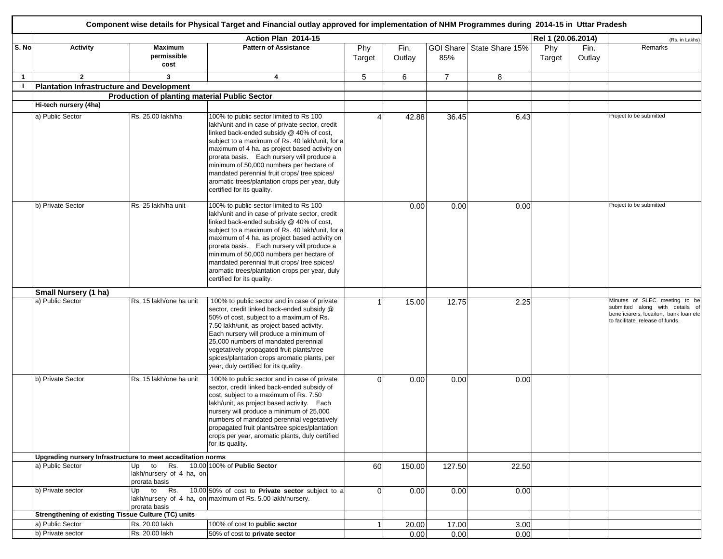|              |                                                             |                                                       | Component wise details for Physical Target and Financial outlay approved for implementation of NHM Programmes during 2014-15 in Uttar Pradesh                                                                                                                                                                                                                                                                                                                        |               |                |                |                           |                    |                |                                                                                                                                               |
|--------------|-------------------------------------------------------------|-------------------------------------------------------|----------------------------------------------------------------------------------------------------------------------------------------------------------------------------------------------------------------------------------------------------------------------------------------------------------------------------------------------------------------------------------------------------------------------------------------------------------------------|---------------|----------------|----------------|---------------------------|--------------------|----------------|-----------------------------------------------------------------------------------------------------------------------------------------------|
|              |                                                             |                                                       | Action Plan 2014-15                                                                                                                                                                                                                                                                                                                                                                                                                                                  |               |                |                |                           | Rel 1 (20.06.2014) |                | (Rs. in Lakhs)                                                                                                                                |
| S. No        | Activity                                                    | <b>Maximum</b><br>permissible<br>cost                 | <b>Pattern of Assistance</b>                                                                                                                                                                                                                                                                                                                                                                                                                                         | Phy<br>Target | Fin.<br>Outlay | 85%            | GOI Share State Share 15% | Phy<br>Target      | Fin.<br>Outlay | Remarks                                                                                                                                       |
| $\mathbf{1}$ | $\overline{2}$                                              | 3                                                     | 4                                                                                                                                                                                                                                                                                                                                                                                                                                                                    | 5             | 6              | $\overline{7}$ | 8                         |                    |                |                                                                                                                                               |
|              | <b>Plantation Infrastructure and Development</b>            |                                                       |                                                                                                                                                                                                                                                                                                                                                                                                                                                                      |               |                |                |                           |                    |                |                                                                                                                                               |
|              |                                                             | <b>Production of planting material Public Sector</b>  |                                                                                                                                                                                                                                                                                                                                                                                                                                                                      |               |                |                |                           |                    |                |                                                                                                                                               |
|              | Hi-tech nursery (4ha)                                       |                                                       |                                                                                                                                                                                                                                                                                                                                                                                                                                                                      |               |                |                |                           |                    |                |                                                                                                                                               |
|              | a) Public Sector                                            | Rs. 25.00 lakh/ha                                     | 100% to public sector limited to Rs 100<br>lakh/unit and in case of private sector, credit<br>linked back-ended subsidy @ 40% of cost,<br>subject to a maximum of Rs. 40 lakh/unit, for a<br>maximum of 4 ha. as project based activity on<br>prorata basis. Each nursery will produce a<br>minimum of 50,000 numbers per hectare of<br>mandated perennial fruit crops/ tree spices/<br>aromatic trees/plantation crops per year, duly<br>certified for its quality. |               | 42.88          | 36.45          | 6.43                      |                    |                | Project to be submitted                                                                                                                       |
|              | b) Private Sector                                           | Rs. 25 lakh/ha unit                                   | 100% to public sector limited to Rs 100<br>lakh/unit and in case of private sector, credit<br>linked back-ended subsidy @ 40% of cost,<br>subject to a maximum of Rs. 40 lakh/unit, for a<br>maximum of 4 ha. as project based activity on<br>prorata basis. Each nursery will produce a<br>minimum of 50,000 numbers per hectare of<br>mandated perennial fruit crops/ tree spices/<br>aromatic trees/plantation crops per year, duly<br>certified for its quality. |               | 0.00           | 0.00           | 0.00                      |                    |                | Project to be submitted                                                                                                                       |
|              | Small Nursery (1 ha)                                        |                                                       |                                                                                                                                                                                                                                                                                                                                                                                                                                                                      |               |                |                |                           |                    |                |                                                                                                                                               |
|              | a) Public Sector                                            | Rs. 15 lakh/one ha unit                               | 100% to public sector and in case of private<br>sector, credit linked back-ended subsidy @<br>50% of cost, subject to a maximum of Rs.<br>7.50 lakh/unit, as project based activity.<br>Each nursery will produce a minimum of<br>25,000 numbers of mandated perennial<br>vegetatively propagated fruit plants/tree<br>spices/plantation crops aromatic plants, per<br>year, duly certified for its quality.                                                         |               | 15.00          | 12.75          | 2.25                      |                    |                | Minutes of SLEC meeting to be<br>submitted along with details of<br>beneficiareis, locaiton, bank loan etc<br>to facilitate release of funds. |
|              | b) Private Sector                                           | Rs. 15 lakh/one ha unit                               | 100% to public sector and in case of private<br>sector, credit linked back-ended subsidy of<br>cost, subject to a maximum of Rs. 7.50<br>akh/unit, as project based activity. Each<br>nursery will produce a minimum of 25,000<br>numbers of mandated perennial vegetatively<br>propagated fruit plants/tree spices/plantation<br>crops per year, aromatic plants, duly certified<br>for its quality.                                                                | $\Omega$      | 0.00           | 0.00           | 0.00                      |                    |                |                                                                                                                                               |
|              | Upgrading nursery Infrastructure to meet acceditation norms |                                                       |                                                                                                                                                                                                                                                                                                                                                                                                                                                                      |               |                |                |                           |                    |                |                                                                                                                                               |
|              | a) Public Sector                                            | Up<br>to<br>lakh/nursery of 4 ha, on<br>prorata basis | Rs. 10.00 100% of Public Sector                                                                                                                                                                                                                                                                                                                                                                                                                                      | 60            | 150.00         | 127.50         | 22.50                     |                    |                |                                                                                                                                               |
|              | b) Private sector                                           | Up to Rs.<br>prorata basis                            | 10.00 50% of cost to Private sector subject to a<br>lakh/nursery of 4 ha, on maximum of Rs. 5.00 lakh/nursery.                                                                                                                                                                                                                                                                                                                                                       | $\Omega$      | 0.00           | 0.00           | 0.00                      |                    |                |                                                                                                                                               |
|              | <b>Strengthening of existing Tissue Culture (TC) units</b>  |                                                       |                                                                                                                                                                                                                                                                                                                                                                                                                                                                      |               |                |                |                           |                    |                |                                                                                                                                               |
|              | a) Public Sector                                            | Rs. 20.00 lakh                                        | 100% of cost to public sector                                                                                                                                                                                                                                                                                                                                                                                                                                        |               | 20.00          | 17.00          | 3.00                      |                    |                |                                                                                                                                               |
|              | b) Private sector                                           | Rs. 20.00 lakh                                        | 50% of cost to private sector                                                                                                                                                                                                                                                                                                                                                                                                                                        |               | 0.00           | 0.00           | 0.00                      |                    |                |                                                                                                                                               |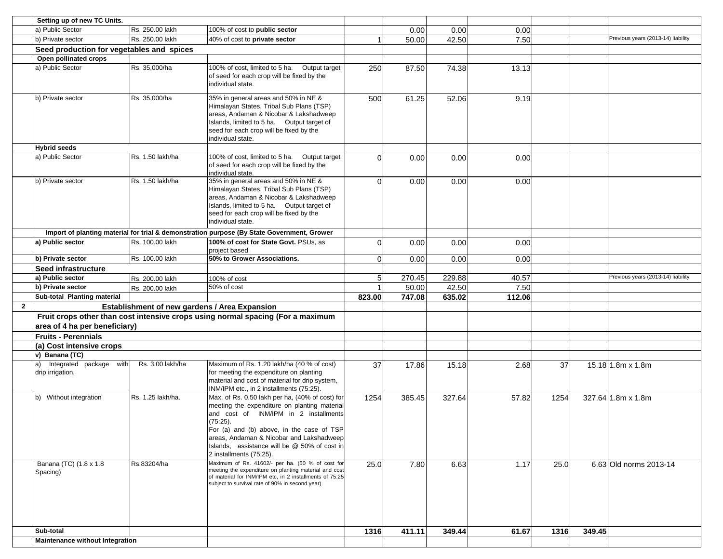|                        | Setting up of new TC Units.               |                                               |                                                                                                                                                                                                                                                                                                                          |                |        |        |        |      |        |                                    |
|------------------------|-------------------------------------------|-----------------------------------------------|--------------------------------------------------------------------------------------------------------------------------------------------------------------------------------------------------------------------------------------------------------------------------------------------------------------------------|----------------|--------|--------|--------|------|--------|------------------------------------|
|                        | a) Public Sector                          | Rs. 250.00 lakh                               | 100% of cost to public sector                                                                                                                                                                                                                                                                                            |                | 0.00   | 0.00   | 0.00   |      |        |                                    |
|                        | b) Private sector                         | Rs. 250.00 lakh                               | 40% of cost to private sector                                                                                                                                                                                                                                                                                            |                | 50.00  | 42.50  | 7.50   |      |        | Previous years (2013-14) liability |
|                        | Seed production for vegetables and spices |                                               |                                                                                                                                                                                                                                                                                                                          |                |        |        |        |      |        |                                    |
|                        | Open pollinated crops                     |                                               |                                                                                                                                                                                                                                                                                                                          |                |        |        |        |      |        |                                    |
| a) Public Sector       |                                           | Rs. 35,000/ha                                 | 100% of cost, limited to 5 ha. Output target<br>of seed for each crop will be fixed by the<br>individual state.                                                                                                                                                                                                          | 250            | 87.50  | 74.38  | 13.13  |      |        |                                    |
|                        | b) Private sector                         | Rs. 35,000/ha                                 | 35% in general areas and 50% in NE &<br>Himalayan States, Tribal Sub Plans (TSP)<br>areas, Andaman & Nicobar & Lakshadweep<br>Islands, limited to 5 ha. Output target of<br>seed for each crop will be fixed by the<br>individual state.                                                                                 | 500            | 61.25  | 52.06  | 9.19   |      |        |                                    |
| <b>Hybrid seeds</b>    |                                           |                                               |                                                                                                                                                                                                                                                                                                                          |                |        |        |        |      |        |                                    |
| a) Public Sector       |                                           | Rs. 1.50 lakh/ha                              | 100% of cost, limited to 5 ha. Output target<br>of seed for each crop will be fixed by the<br>individual state.                                                                                                                                                                                                          | $\Omega$       | 0.00   | 0.00   | 0.00   |      |        |                                    |
|                        | b) Private sector                         | Rs. 1.50 lakh/ha                              | 35% in general areas and 50% in NE &<br>Himalayan States, Tribal Sub Plans (TSP)<br>areas, Andaman & Nicobar & Lakshadweep<br>Islands, limited to 5 ha. Output target of<br>seed for each crop will be fixed by the<br>individual state.                                                                                 | $\Omega$       | 0.00   | 0.00   | 0.00   |      |        |                                    |
|                        |                                           |                                               | Import of planting material for trial & demonstration purpose (By State Government, Grower                                                                                                                                                                                                                               |                |        |        |        |      |        |                                    |
|                        | a) Public sector                          | Rs. 100.00 lakh                               | 100% of cost for State Govt. PSUs, as<br>project based                                                                                                                                                                                                                                                                   | $\overline{0}$ | 0.00   | 0.00   | 0.00   |      |        |                                    |
|                        | b) Private sector                         | Rs. 100.00 lakh                               | 50% to Grower Associations.                                                                                                                                                                                                                                                                                              | ΟI             | 0.00   | 0.00   | 0.00   |      |        |                                    |
|                        | Seed infrastructure                       |                                               |                                                                                                                                                                                                                                                                                                                          |                |        |        |        |      |        |                                    |
|                        | a) Public sector                          | Rs. 200.00 lakh                               | 100% of cost                                                                                                                                                                                                                                                                                                             | 5 <sub>l</sub> | 270.45 | 229.88 | 40.57  |      |        | Previous years (2013-14) liability |
|                        | b) Private sector                         | Rs. 200.00 lakh                               | 50% of cost                                                                                                                                                                                                                                                                                                              | $\mathbf 1$    | 50.00  | 42.50  | 7.50   |      |        |                                    |
|                        | Sub-total Planting material               |                                               |                                                                                                                                                                                                                                                                                                                          | 823.00         | 747.08 | 635.02 | 112.06 |      |        |                                    |
| $\mathbf{2}$           |                                           | Establishment of new gardens / Area Expansion |                                                                                                                                                                                                                                                                                                                          |                |        |        |        |      |        |                                    |
|                        | area of 4 ha per beneficiary)             |                                               | Fruit crops other than cost intensive crops using normal spacing (For a maximum                                                                                                                                                                                                                                          |                |        |        |        |      |        |                                    |
|                        | <b>Fruits - Perennials</b>                |                                               |                                                                                                                                                                                                                                                                                                                          |                |        |        |        |      |        |                                    |
|                        | (a) Cost intensive crops                  |                                               |                                                                                                                                                                                                                                                                                                                          |                |        |        |        |      |        |                                    |
|                        | v) Banana (TC)                            |                                               |                                                                                                                                                                                                                                                                                                                          |                |        |        |        |      |        |                                    |
| a)<br>drip irrigation. | Integrated package with                   | Rs. 3.00 lakh/ha                              | Maximum of Rs. 1.20 lakh/ha (40 % of cost)<br>for meeting the expenditure on planting<br>material and cost of material for drip system,<br>INM/IPM etc., in 2 installments (75:25).                                                                                                                                      | 37             | 17.86  | 15.18  | 2.68   | 37   |        | $15.18$ 1.8m x 1.8m                |
|                        | b) Without integration                    | Rs. 1.25 lakh/ha.                             | Max. of Rs. 0.50 lakh per ha, (40% of cost) for<br>meeting the expenditure on planting material<br>and cost of INM/IPM in 2 installments<br>(75:25).<br>For (a) and (b) above, in the case of TSP<br>areas, Andaman & Nicobar and Lakshadweep<br>Islands, assistance will be @ 50% of cost in<br>2 installments (75:25). | 1254           | 385.45 | 327.64 | 57.82  | 1254 |        | 327.64 1.8m x 1.8m                 |
| Spacing)               | Banana (TC) (1.8 x 1.8)                   | Rs.83204/ha                                   | Maximum of Rs. 41602/- per ha. (50 % of cost for<br>meeting the expenditure on planting material and cost<br>of material for INM/IPM etc, in 2 installments of 75:25<br>subject to survival rate of 90% in second year).                                                                                                 | 25.0           | 7.80   | 6.63   | 1.17   | 25.0 |        | 6.63 Old norms 2013-14             |
|                        |                                           |                                               |                                                                                                                                                                                                                                                                                                                          |                |        |        |        |      |        |                                    |
| Sub-total              |                                           |                                               |                                                                                                                                                                                                                                                                                                                          | 1316           | 411.11 | 349.44 | 61.67  | 1316 | 349.45 |                                    |
|                        | <b>Maintenance without Integration</b>    |                                               |                                                                                                                                                                                                                                                                                                                          |                |        |        |        |      |        |                                    |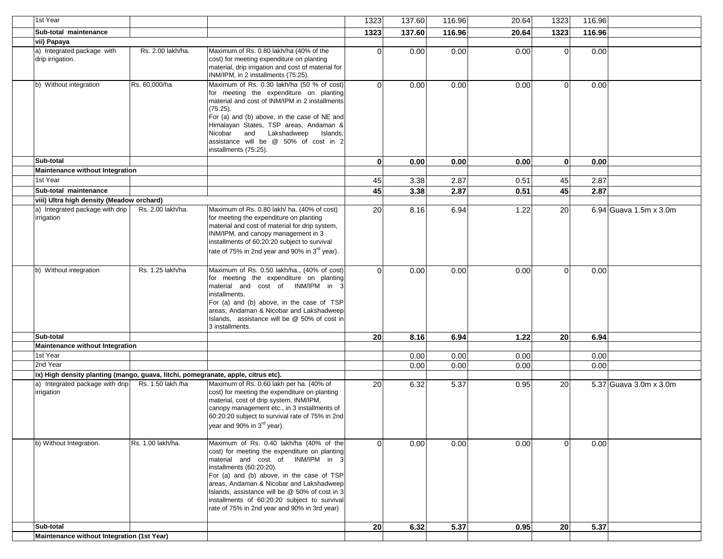| 1st Year                                                                          |                   |                                                                                                                                                                                                                                                                                                                                                                                                      | 1323     | 137.60 | 116.96 | 20.64 | 1323           | 116.96 |                        |
|-----------------------------------------------------------------------------------|-------------------|------------------------------------------------------------------------------------------------------------------------------------------------------------------------------------------------------------------------------------------------------------------------------------------------------------------------------------------------------------------------------------------------------|----------|--------|--------|-------|----------------|--------|------------------------|
| Sub-total maintenance                                                             |                   |                                                                                                                                                                                                                                                                                                                                                                                                      | 1323     | 137.60 | 116.96 | 20.64 | 1323           | 116.96 |                        |
| vii) Papaya                                                                       |                   |                                                                                                                                                                                                                                                                                                                                                                                                      |          |        |        |       |                |        |                        |
| a) Integrated package with<br>drip irrigation.                                    | Rs. 2.00 lakh/ha. | Maximum of Rs. 0.80 lakh/ha (40% of the<br>cost) for meeting expenditure on planting<br>material, drip irrigation and cost of material for<br>INM/IPM, in 2 installments (75:25).                                                                                                                                                                                                                    | $\Omega$ | 0.00   | 0.00   | 0.00  | $\overline{0}$ | 0.00   |                        |
| b) Without integration                                                            | Rs. 60,000/ha     | Maximum of Rs. 0.30 lakh/ha (50 % of cost)<br>for meeting the expenditure on planting<br>material and cost of INM/IPM in 2 installments<br>$(75:25)$ .<br>For (a) and (b) above, in the case of NE and<br>Himalayan States, TSP areas, Andaman &<br>Nicobar and Lakshadweep<br>Islands,<br>assistance will be @ 50% of cost in 2<br>installments (75:25).                                            | $\Omega$ | 0.00   | 0.00   | 0.00  | $\Omega$       | 0.00   |                        |
| Sub-total                                                                         |                   |                                                                                                                                                                                                                                                                                                                                                                                                      | $\bf{0}$ | 0.00   | 0.00   | 0.00  | $\mathbf{0}$   | 0.00   |                        |
| Maintenance without Integration                                                   |                   |                                                                                                                                                                                                                                                                                                                                                                                                      |          |        |        |       |                |        |                        |
| 1st Year                                                                          |                   |                                                                                                                                                                                                                                                                                                                                                                                                      | 45       | 3.38   | 2.87   | 0.51  | 45             | 2.87   |                        |
| Sub-total maintenance                                                             |                   |                                                                                                                                                                                                                                                                                                                                                                                                      | 45       | 3.38   | 2.87   | 0.51  | 45             | 2.87   |                        |
| viii) Ultra high density (Meadow orchard)                                         |                   |                                                                                                                                                                                                                                                                                                                                                                                                      |          |        |        |       |                |        |                        |
| a) Integrated package with drip<br>irrigation                                     | Rs. 2.00 lakh/ha. | Maximum of Rs. 0.80 lakh/ ha. (40% of cost)<br>for meeting the expenditure on planting<br>material and cost of material for drip system,<br>INM/IPM, and canopy management in 3<br>installments of 60:20:20 subject to survival<br>rate of 75% in 2nd year and 90% in 3 <sup>rd</sup> year).                                                                                                         | 20       | 8.16   | 6.94   | 1.22  | 20             |        | 6.94 Guava 1.5m x 3.0m |
| b) Without integration                                                            | Rs. 1.25 lakh/ha  | Maximum of Rs. 0.50 lakh/ha., (40% of cost)<br>for meeting the expenditure on planting<br>material and cost of INM/IPM in 3<br>installments.<br>For (a) and (b) above, in the case of TSP<br>areas, Andaman & Nicobar and Lakshadweep<br>Islands, assistance will be @ 50% of cost in<br>3 installments.                                                                                             | $\Omega$ | 0.00   | 0.00   | 0.00  | $\Omega$       | 0.00   |                        |
| Sub-total                                                                         |                   |                                                                                                                                                                                                                                                                                                                                                                                                      | 20       | 8.16   | 6.94   | 1.22  | <b>20</b>      | 6.94   |                        |
| <b>Maintenance without Integration</b>                                            |                   |                                                                                                                                                                                                                                                                                                                                                                                                      |          |        |        |       |                |        |                        |
| 1st Year                                                                          |                   |                                                                                                                                                                                                                                                                                                                                                                                                      |          | 0.00   | 0.00   | 0.00  |                | 0.00   |                        |
| 2nd Year                                                                          |                   |                                                                                                                                                                                                                                                                                                                                                                                                      |          | 0.00   | 0.00   | 0.00  |                | 0.00   |                        |
| ix) High density planting (mango, guava, litchi, pomegranate, apple, citrus etc). |                   |                                                                                                                                                                                                                                                                                                                                                                                                      |          |        |        |       |                |        |                        |
| a) Integrated package with drip<br>irrigation                                     | Rs. 1.50 lakh /ha | Maximum of Rs. 0.60 lakh per ha. (40% of<br>cost) for meeting the expenditure on planting<br>material, cost of drip system, INM/IPM,<br>canopy management etc., in 3 installments of<br>60:20:20 subject to survival rate of 75% in 2nd<br>year and 90% in 3 <sup>rd</sup> year).                                                                                                                    | 20       | 6.32   | 5.37   | 0.95  | 20             |        | 5.37 Guava 3.0m x 3.0m |
| b) Without Integration.                                                           | Rs. 1.00 lakh/ha. | Maximum of Rs. 0.40 lakh/ha (40% of the<br>cost) for meeting the expenditure on planting<br>material and cost of INM/IPM in 3<br>installments (60:20:20).<br>For (a) and (b) above, in the case of TSP<br>areas, Andaman & Nicobar and Lakshadweep<br>Islands, assistance will be @ 50% of cost in 3<br>installments of 60:20:20 subject to survival<br>rate of 75% in 2nd year and 90% in 3rd year) | $\Omega$ | 0.00   | 0.00   | 0.00  | $\Omega$       | 0.00   |                        |
| Sub-total                                                                         |                   |                                                                                                                                                                                                                                                                                                                                                                                                      | 20       | 6.32   | 5.37   | 0.95  | 20             | 5.37   |                        |
| Maintenance without Integration (1st Year)                                        |                   |                                                                                                                                                                                                                                                                                                                                                                                                      |          |        |        |       |                |        |                        |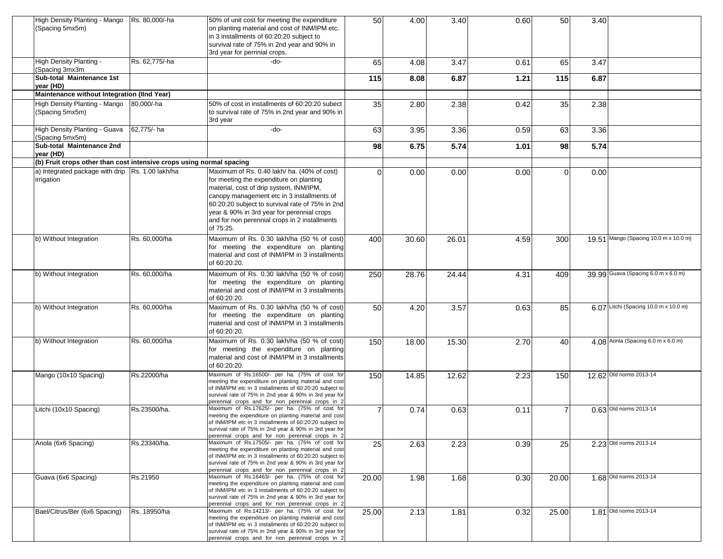| High Density Planting - Mango<br>(Spacing 5mx5m)                     | Rs. 80,000/-ha | 50% of unit cost for meeting the expenditure<br>on planting material and cost of INM/IPM etc.<br>in 3 installments of 60:20:20 subject to<br>survival rate of 75% in 2nd year and 90% in<br>3rd year for perrinial crops.                                                                                                                      | 50             | 4.00  | 3.40  | 0.60 | 50       | 3.40 |                                       |
|----------------------------------------------------------------------|----------------|------------------------------------------------------------------------------------------------------------------------------------------------------------------------------------------------------------------------------------------------------------------------------------------------------------------------------------------------|----------------|-------|-------|------|----------|------|---------------------------------------|
| High Density Planting -<br>Spacing 3mx3m                             | Rs. 62,775/-ha | $-do-$                                                                                                                                                                                                                                                                                                                                         | 65             | 4.08  | 3.47  | 0.61 | 65       | 3.47 |                                       |
| Sub-total Maintenance 1st<br>vear (HD)                               |                |                                                                                                                                                                                                                                                                                                                                                | 115            | 8.08  | 6.87  | 1.21 | 115      | 6.87 |                                       |
| Maintenance without Integration (IInd Year)                          |                |                                                                                                                                                                                                                                                                                                                                                |                |       |       |      |          |      |                                       |
| High Density Planting - Mango<br>(Spacing 5mx5m)                     | 80,000/-ha     | 50% of cost in installments of 60:20:20 subect<br>to survival rate of 75% in 2nd year and 90% in<br>3rd year                                                                                                                                                                                                                                   | 35             | 2.80  | 2.38  | 0.42 | 35       | 2.38 |                                       |
| High Density Planting - Guava<br>(Spacing 5mx5m)                     | 62.775/- ha    | -do-                                                                                                                                                                                                                                                                                                                                           | 63             | 3.95  | 3.36  | 0.59 | 63       | 3.36 |                                       |
| Sub-total Maintenance 2nd<br>year (HD)                               |                |                                                                                                                                                                                                                                                                                                                                                | 98             | 6.75  | 5.74  | 1.01 | 98       | 5.74 |                                       |
| (b) Fruit crops other than cost intensive crops using normal spacing |                |                                                                                                                                                                                                                                                                                                                                                |                |       |       |      |          |      |                                       |
| a) Integrated package with drip Rs. 1.00 lakh/ha<br>rrigation        |                | Maximum of Rs. 0.40 lakh/ ha. (40% of cost)<br>for meeting the expenditure on planting<br>material, cost of drip system, INM/IPM,<br>canopy management etc in 3 installments of<br>60:20:20 subject to survival rate of 75% in 2nd<br>year & 90% in 3rd year for perennial crops<br>and for non perennial crops in 2 installments<br>of 75:25. | $\Omega$       | 0.00  | 0.00  | 0.00 | $\Omega$ | 0.00 |                                       |
| b) Without Integration                                               | Rs. 60,000/ha  | Maximum of Rs. 0.30 lakh/ha (50 % of cost)<br>for meeting the expenditure on planting<br>material and cost of INM/IPM in 3 installments<br>of 60:20:20.                                                                                                                                                                                        | 400            | 30.60 | 26.01 | 4.59 | 300      |      | 19.51 Mango (Spacing 10.0 m x 10.0 m) |
| b) Without Integration                                               | Rs. 60,000/ha  | Maximum of Rs. 0.30 lakh/ha (50 % of cost)<br>for meeting the expenditure on planting<br>material and cost of INM/IPM in 3 installments<br>of 60:20:20.                                                                                                                                                                                        | 250            | 28.76 | 24.44 | 4.31 | 409      |      | 39.99 Guava (Spacing 6.0 m x 6.0 m)   |
| b) Without Integration                                               | Rs. 60,000/ha  | Maximum of Rs. 0.30 lakh/ha (50 % of cost)<br>for meeting the expenditure on planting<br>material and cost of INM/IPM in 3 installments<br>of 60:20:20.                                                                                                                                                                                        | 50             | 4.20  | 3.57  | 0.63 | 85       |      | 6.07 Litchi (Spacing 10.0 m x 10.0 m) |
| b) Without Integration                                               | Rs. 60,000/ha  | Maximum of Rs. 0.30 lakh/ha (50 % of cost)<br>for meeting the expenditure on planting<br>material and cost of INM/IPM in 3 installments<br>of 60:20:20.                                                                                                                                                                                        | 150            | 18.00 | 15.30 | 2.70 | 40       |      | 4.08 Aonla (Spacing 6.0 m x 6.0 m)    |
| Mango (10x10 Spacing)                                                | Rs.22000/ha    | Maximum of Rs.16500/- per ha. (75% of cost for<br>meeting the expenditure on planting material and cost<br>of INM/IPM etc in 3 installments of 60:20:20 subject to<br>survival rate of 75% in 2nd year & 90% in 3rd year for<br>perennial crops and for non perennial crops in 2                                                               | 150            | 14.85 | 12.62 | 2.23 | 150      |      | 12.62 Old norms 2013-14               |
| Litchi (10x10 Spacing)                                               | Rs.23500/ha.   | Maximum of Rs.17625/- per ha. (75% of cost for<br>meeting the expenditure on planting material and cost<br>of INM/IPM etc in 3 installments of 60:20:20 subject to<br>survival rate of 75% in 2nd year & 90% in 3rd year for<br>perennial crops and for non perennial crops in 2                                                               | $\overline{7}$ | 0.74  | 0.63  | 0.11 |          |      | 0.63 Old norms 2013-14                |
| Anola (6x6 Spacing)                                                  | Rs.23340/ha.   | Maximum of Rs.17505/- per ha. (75% of cost for<br>meeting the expenditure on planting material and cost<br>of INM/IPM etc in 3 installments of 60:20:20 subject to<br>survival rate of 75% in 2nd year & 90% in 3rd year for<br>perennial crops and for non perennial crops in 2                                                               | 25             | 2.63  | 2.23  | 0.39 | 25       |      | 2.23 Old norms 2013-14                |
| Guava (6x6 Spacing)                                                  | Rs.21950       | Maximum of Rs.16463/- per ha. (75% of cost for<br>meeting the expenditure on planting material and cost<br>of INM/IPM etc in 3 installments of 60:20:20 subject to<br>survival rate of 75% in 2nd year & 90% in 3rd year for<br>perennial crops and for non perennial crops in 2                                                               | 20.00          | 1.98  | 1.68  | 0.30 | 20.00    |      | 1.68 Old norms 2013-14                |
| Bael/Citrus/Ber (6x6 Spacing)                                        | Rs. 18950/ha   | Maximum of Rs.14213/- per ha. (75% of cost for<br>meeting the expenditure on planting material and cost<br>of INM/IPM etc in 3 installments of 60:20:20 subject to<br>survival rate of 75% in 2nd year & 90% in 3rd year for<br>perennial crops and for non perennial crops in 2                                                               | 25.00          | 2.13  | 1.81  | 0.32 | 25.00    |      | 1.81 Old norms 2013-14                |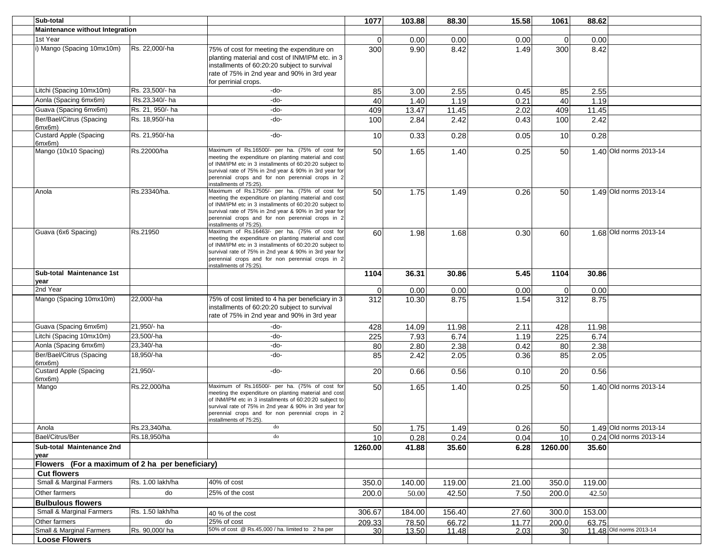| Sub-total                                       |                  |                                                                                                                                                                                                                                                                                                             | 1077        | 103.88 | 88.30  | 15.58 | 1061            | 88.62  |                         |
|-------------------------------------------------|------------------|-------------------------------------------------------------------------------------------------------------------------------------------------------------------------------------------------------------------------------------------------------------------------------------------------------------|-------------|--------|--------|-------|-----------------|--------|-------------------------|
| <b>Maintenance without Integration</b>          |                  |                                                                                                                                                                                                                                                                                                             |             |        |        |       |                 |        |                         |
| 1st Year                                        |                  |                                                                                                                                                                                                                                                                                                             | 0           | 0.00   | 0.00   | 0.00  | $\overline{0}$  | 0.00   |                         |
| i) Mango (Spacing 10mx10m)                      | Rs. 22.000/-ha   | 75% of cost for meeting the expenditure on<br>planting material and cost of INM/IPM etc. in 3<br>installments of 60:20:20 subject to survival<br>rate of 75% in 2nd year and 90% in 3rd year<br>for perrinial crops.                                                                                        | 300         | 9.90   | 8.42   | 1.49  | 300             | 8.42   |                         |
| Litchi (Spacing 10mx10m)                        | Rs. 23,500/- ha  | -do-                                                                                                                                                                                                                                                                                                        | 85          | 3.00   | 2.55   | 0.45  | 85              | 2.55   |                         |
| Aonla (Spacing 6mx6m)                           | Rs.23,340/- ha   | -do-                                                                                                                                                                                                                                                                                                        | 40          | 1.40   | 1.19   | 0.21  | 40              | 1.19   |                         |
| Guava (Spacing 6mx6m)                           | Rs. 21, 950/- ha | -do-                                                                                                                                                                                                                                                                                                        | 409         | 13.47  | 11.45  | 2.02  | 409             | 11.45  |                         |
| Ber/Bael/Citrus (Spacing<br>6mx6m)              | Rs. 18,950/-ha   | -do-                                                                                                                                                                                                                                                                                                        | 100         | 2.84   | 2.42   | 0.43  | 100             | 2.42   |                         |
| <b>Custard Apple (Spacing</b><br>6mx6m)         | Rs. 21,950/-ha   | -do-                                                                                                                                                                                                                                                                                                        | 10          | 0.33   | 0.28   | 0.05  | 10 <sup>1</sup> | 0.28   |                         |
| Mango (10x10 Spacing)                           | Rs.22000/ha      | Maximum of Rs.16500/- per ha. (75% of cost for<br>meeting the expenditure on planting material and cost<br>of INM/IPM etc in 3 installments of 60:20:20 subject to<br>survival rate of 75% in 2nd year & 90% in 3rd year for<br>perennial crops and for non perennial crops in 2<br>installments of 75:25). | 50          | 1.65   | 1.40   | 0.25  | 50              |        | 1.40 Old norms 2013-14  |
| Anola                                           | Rs.23340/ha.     | Maximum of Rs.17505/- per ha. (75% of cost for<br>meeting the expenditure on planting material and cost<br>of INM/IPM etc in 3 installments of 60:20:20 subject to<br>survival rate of 75% in 2nd year & 90% in 3rd year for<br>perennial crops and for non perennial crops in 2<br>installments of 75:25). | 50          | 1.75   | 1.49   | 0.26  | 50              |        | 1.49 Old norms 2013-14  |
| Guava (6x6 Spacing)                             | Rs.21950         | Maximum of Rs.16463/- per ha. (75% of cost for<br>meeting the expenditure on planting material and cost<br>of INM/IPM etc in 3 installments of 60:20:20 subject to<br>survival rate of 75% in 2nd year & 90% in 3rd year for<br>perennial crops and for non perennial crops in 2<br>nstallments of 75:25).  | 60          | 1.98   | 1.68   | 0.30  | 60              |        | 1.68 Old norms 2013-14  |
| Sub-total Maintenance 1st<br>vear               |                  |                                                                                                                                                                                                                                                                                                             | 1104        | 36.31  | 30.86  | 5.45  | 1104            | 30.86  |                         |
| 2nd Year                                        |                  |                                                                                                                                                                                                                                                                                                             | $\mathbf 0$ | 0.00   | 0.00   | 0.00  | $\overline{0}$  | 0.00   |                         |
| Mango (Spacing 10mx10m)                         | 22,000/-ha       | 75% of cost limited to 4 ha per beneficiary in 3<br>installments of 60:20:20 subject to survival<br>rate of 75% in 2nd year and 90% in 3rd year                                                                                                                                                             | 312         | 10.30  | 8.75   | 1.54  | 312             | 8.75   |                         |
| Guava (Spacing 6mx6m)                           | 21,950/- ha      | -do-                                                                                                                                                                                                                                                                                                        | 428         | 14.09  | 11.98  | 2.11  | 428             | 11.98  |                         |
| Litchi (Spacing 10mx10m)                        | 23,500/-ha       | -do-                                                                                                                                                                                                                                                                                                        | 225         | 7.93   | 6.74   | 1.19  | 225             | 6.74   |                         |
| Aonla (Spacing 6mx6m)                           | 23,340/-ha       | -do-                                                                                                                                                                                                                                                                                                        | 80          | 2.80   | 2.38   | 0.42  | 80              | 2.38   |                         |
| Ber/Bael/Citrus (Spacing<br>6mx6m)              | 18,950/-ha       | -do-                                                                                                                                                                                                                                                                                                        | 85          | 2.42   | 2.05   | 0.36  | 85              | 2.05   |                         |
| <b>Custard Apple (Spacing</b><br>6mx6m)         | 21,950/-         | -do-                                                                                                                                                                                                                                                                                                        | 20          | 0.66   | 0.56   | 0.10  | 20              | 0.56   |                         |
| Mango                                           | Rs.22,000/ha     | Maximum of Rs.16500/- per ha. (75% of cost for<br>meeting the expenditure on planting material and cost<br>of INM/IPM etc in 3 installments of 60:20:20 subject to<br>survival rate of 75% in 2nd year & 90% in 3rd year for<br>perennial crops and for non perennial crops in 2<br>installments of 75:25). | 50          | 1.65   | 1.40   | 0.25  | 50              |        | 1.40 Old norms 2013-14  |
| Anola                                           | Rs.23,340/ha.    | do                                                                                                                                                                                                                                                                                                          | 50          | 1.75   | 1.49   | 0.26  | <b>50</b>       |        | 1.49 Old norms 2013-14  |
| Bael/Citrus/Ber                                 | Rs.18,950/ha     | do                                                                                                                                                                                                                                                                                                          | 10          | 0.28   | 0.24   | 0.04  | 10 <sup>1</sup> |        | 0.24 Old norms 2013-14  |
| Sub-total Maintenance 2nd<br>vear               |                  |                                                                                                                                                                                                                                                                                                             | 1260.00     | 41.88  | 35.60  | 6.28  | 1260.00         | 35.60  |                         |
| Flowers (For a maximum of 2 ha per beneficiary) |                  |                                                                                                                                                                                                                                                                                                             |             |        |        |       |                 |        |                         |
| <b>Cut flowers</b>                              |                  |                                                                                                                                                                                                                                                                                                             |             |        |        |       |                 |        |                         |
| <b>Small &amp; Marginal Farmers</b>             | Rs. 1.00 lakh/ha | $\overline{40\%}$ of cost                                                                                                                                                                                                                                                                                   | 350.0       | 140.00 | 119.00 | 21.00 | 350.0           | 119.00 |                         |
| Other farmers                                   | do               | 25% of the cost                                                                                                                                                                                                                                                                                             | 200.0       | 50.00  | 42.50  | 7.50  | 200.0           | 42.50  |                         |
| <b>Bulbulous flowers</b>                        |                  |                                                                                                                                                                                                                                                                                                             |             |        |        |       |                 |        |                         |
| Small & Marginal Farmers                        | Rs. 1.50 lakh/ha | 40 % of the cost                                                                                                                                                                                                                                                                                            | 306.67      | 184.00 | 156.40 | 27.60 | 300.0           | 153.00 |                         |
| Other farmers                                   | do               | 25% of cost                                                                                                                                                                                                                                                                                                 | 209.33      | 78.50  | 66.72  | 11.77 | 200.0           | 63.75  |                         |
| Small & Marginal Farmers                        | Rs. 90,000/ha    | 50% of cost @ Rs.45,000 / ha. limited to 2 ha per                                                                                                                                                                                                                                                           | 30          | 13.50  | 11.48  | 2.03  | 30 <sup>1</sup> |        | 11.48 Old norms 2013-14 |
| <b>Loose Flowers</b>                            |                  |                                                                                                                                                                                                                                                                                                             |             |        |        |       |                 |        |                         |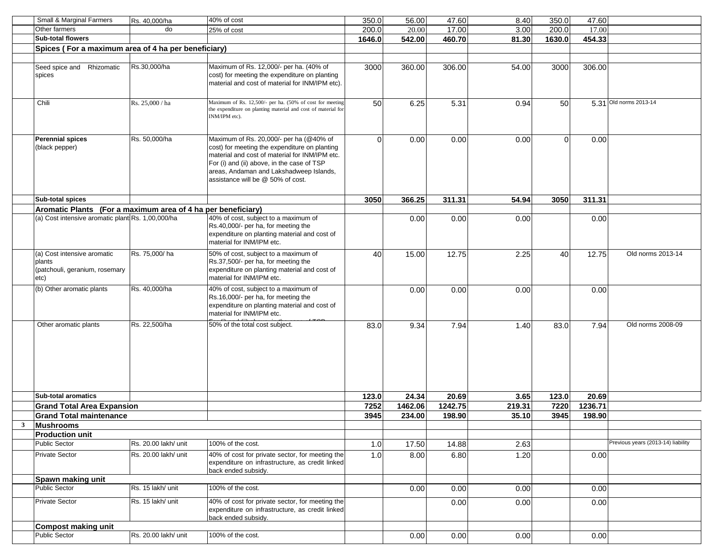|              | Small & Marginal Farmers                                                        | Rs. 40,000/ha        | 40% of cost                                                                                                                                                                                                                                                              | 350.0    | 56.00   | 47.60   | 8.40   | 350.0    | 47.60   |                                    |
|--------------|---------------------------------------------------------------------------------|----------------------|--------------------------------------------------------------------------------------------------------------------------------------------------------------------------------------------------------------------------------------------------------------------------|----------|---------|---------|--------|----------|---------|------------------------------------|
|              | Other farmers                                                                   | do                   | 25% of cost                                                                                                                                                                                                                                                              | 200.0    | 20.00   | 17.00   | 3.00   | 200.0    | 17.00   |                                    |
|              | <b>Sub-total flowers</b>                                                        |                      |                                                                                                                                                                                                                                                                          | 1646.0   | 542.00  | 460.70  | 81.30  | 1630.0   | 454.33  |                                    |
|              | Spices (For a maximum area of 4 ha per beneficiary)                             |                      |                                                                                                                                                                                                                                                                          |          |         |         |        |          |         |                                    |
|              |                                                                                 |                      |                                                                                                                                                                                                                                                                          |          |         |         |        |          |         |                                    |
|              | Seed spice and Rhizomatic<br>spices                                             | Rs.30,000/ha         | Maximum of Rs. 12,000/- per ha. (40% of<br>cost) for meeting the expenditure on planting<br>material and cost of material for INM/IPM etc).                                                                                                                              | 3000     | 360.00  | 306.00  | 54.00  | 3000     | 306.00  |                                    |
|              | Chili                                                                           | Rs. 25,000 / ha      | Maximum of Rs. 12,500/- per ha. (50% of cost for meeting<br>the expenditure on planting material and cost of material for<br>INM/IPM etc).                                                                                                                               | 50       | 6.25    | 5.31    | 0.94   | 50       |         | 5.31 Old norms 2013-14             |
|              | <b>Perennial spices</b><br>(black pepper)                                       | Rs. 50,000/ha        | Maximum of Rs. 20,000/- per ha (@40% of<br>cost) for meeting the expenditure on planting<br>material and cost of material for INM/IPM etc.<br>For (i) and (ii) above, in the case of TSP<br>areas, Andaman and Lakshadweep Islands,<br>assistance will be @ 50% of cost. | $\Omega$ | 0.00    | 0.00    | 0.00   | $\Omega$ | 0.00    |                                    |
|              | Sub-total spices                                                                |                      |                                                                                                                                                                                                                                                                          | 3050     | 366.25  | 311.31  | 54.94  | 3050     | 311.31  |                                    |
|              | Aromatic Plants (For a maximum area of 4 ha per beneficiary)                    |                      |                                                                                                                                                                                                                                                                          |          |         |         |        |          |         |                                    |
|              | (a) Cost intensive aromatic plant Rs. 1,00,000/ha                               |                      | 40% of cost, subject to a maximum of<br>Rs.40,000/- per ha, for meeting the<br>expenditure on planting material and cost of<br>material for INM/IPM etc.                                                                                                                 |          | 0.00    | 0.00    | 0.00   |          | 0.00    |                                    |
|              | (a) Cost intensive aromatic<br>plants<br>(patchouli, geranium, rosemary<br>etc) | Rs. 75,000/ha        | 50% of cost, subject to a maximum of<br>Rs.37,500/- per ha, for meeting the<br>expenditure on planting material and cost of<br>material for INM/IPM etc.                                                                                                                 | 40       | 15.00   | 12.75   | 2.25   | 40       | 12.75   | Old norms 2013-14                  |
|              | (b) Other aromatic plants                                                       | Rs. 40,000/ha        | 40% of cost, subject to a maximum of<br>Rs.16,000/- per ha, for meeting the<br>expenditure on planting material and cost of<br>material for INM/IPM etc.                                                                                                                 |          | 0.00    | 0.00    | 0.00   |          | 0.00    |                                    |
|              | Other aromatic plants                                                           | Rs. 22,500/ha        | 50% of the total cost subject.                                                                                                                                                                                                                                           | 83.0     | 9.34    | 7.94    | 1.40   | 83.0     | 7.94    | Old norms 2008-09                  |
|              | <b>Sub-total aromatics</b>                                                      |                      |                                                                                                                                                                                                                                                                          | 123.0    | 24.34   | 20.69   | 3.65   | 123.0    | 20.69   |                                    |
|              | <b>Grand Total Area Expansion</b>                                               |                      |                                                                                                                                                                                                                                                                          | 7252     | 1462.06 | 1242.75 | 219.31 | 7220     | 1236.71 |                                    |
|              | <b>Grand Total maintenance</b>                                                  |                      |                                                                                                                                                                                                                                                                          | 3945     | 234.00  | 198.90  | 35.10  | 3945     | 198.90  |                                    |
| $\mathbf{3}$ | <b>Mushrooms</b>                                                                |                      |                                                                                                                                                                                                                                                                          |          |         |         |        |          |         |                                    |
|              | <b>Production unit</b>                                                          |                      |                                                                                                                                                                                                                                                                          |          |         |         |        |          |         |                                    |
|              | <b>Public Sector</b>                                                            | Rs. 20.00 lakh/ unit | 100% of the cost.                                                                                                                                                                                                                                                        | 1.0      | 17.50   | 14.88   | 2.63   |          |         | Previous years (2013-14) liability |
|              | <b>Private Sector</b>                                                           | Rs. 20.00 lakh/ unit | 40% of cost for private sector, for meeting the<br>expenditure on infrastructure, as credit linked<br>back ended subsidy.                                                                                                                                                | 1.0      | 8.00    | 6.80    | 1.20   |          | 0.00    |                                    |
|              | Spawn making unit                                                               |                      |                                                                                                                                                                                                                                                                          |          |         |         |        |          |         |                                    |
|              | <b>Public Sector</b>                                                            | Rs. 15 lakh/ unit    | 100% of the cost.                                                                                                                                                                                                                                                        |          | 0.00    | 0.00    | 0.00   |          | 0.00    |                                    |
|              | <b>Private Sector</b>                                                           | Rs. 15 lakh/ unit    | 40% of cost for private sector, for meeting the<br>expenditure on infrastructure, as credit linked<br>back ended subsidy.                                                                                                                                                |          |         | 0.00    | 0.00   |          | 0.00    |                                    |
|              | <b>Compost making unit</b>                                                      |                      |                                                                                                                                                                                                                                                                          |          |         |         |        |          |         |                                    |
|              | <b>Public Sector</b>                                                            | Rs. 20.00 lakh/ unit | 100% of the cost.                                                                                                                                                                                                                                                        |          | 0.00    | 0.00    | 0.00   |          | 0.00    |                                    |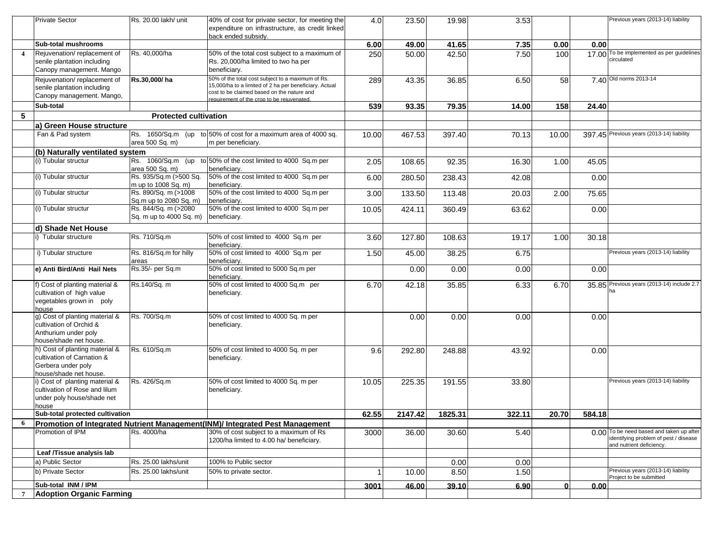|                 | <b>Private Sector</b>                                           | Rs. 20.00 lakh/ unit         | 40% of cost for private sector, for meeting the                                                      | 4.0   | 23.50   | 19.98   | 3.53   |       |        | Previous years (2013-14) liability                            |
|-----------------|-----------------------------------------------------------------|------------------------------|------------------------------------------------------------------------------------------------------|-------|---------|---------|--------|-------|--------|---------------------------------------------------------------|
|                 |                                                                 |                              | expenditure on infrastructure, as credit linked                                                      |       |         |         |        |       |        |                                                               |
|                 |                                                                 |                              | back ended subsidy.                                                                                  |       |         |         |        |       |        |                                                               |
|                 | <b>Sub-total mushrooms</b>                                      |                              |                                                                                                      | 6.00  | 49.00   | 41.65   | 7.35   | 0.00  | 0.00   |                                                               |
|                 | Rejuvenation/replacement of                                     | Rs. 40,000/ha                | 50% of the total cost subject to a maximum of                                                        | 250   | 50.00   | 42.50   | 7.50   | 100   |        | 17.00 To be implemented as per guidelines                     |
|                 | senile plantation including                                     |                              | Rs. 20,000/ha limited to two ha per                                                                  |       |         |         |        |       |        | circulated                                                    |
|                 | Canopy management. Mango                                        |                              | beneficiary.                                                                                         |       |         |         |        |       |        |                                                               |
|                 | Rejuvenation/replacement of                                     | Rs.30,000/ha                 | 50% of the total cost subject to a maximum of Rs.                                                    | 289   | 43.35   | 36.85   | 6.50   | 58    |        | 7.40 Old norms 2013-14                                        |
|                 | senile plantation including                                     |                              | 15,000/ha to a limited of 2 ha per beneficiary. Actual<br>cost to be claimed based on the nature and |       |         |         |        |       |        |                                                               |
|                 | Canopy management. Mango,                                       |                              | requirement of the crop to be reiuvenated.                                                           |       |         |         |        |       |        |                                                               |
|                 | Sub-total                                                       |                              |                                                                                                      | 539   | 93.35   | 79.35   | 14.00  | 158   | 24.40  |                                                               |
| $5\phantom{.0}$ |                                                                 | <b>Protected cultivation</b> |                                                                                                      |       |         |         |        |       |        |                                                               |
|                 | a) Green House structure                                        |                              |                                                                                                      |       |         |         |        |       |        |                                                               |
|                 | Fan & Pad system                                                | Rs. 1650/Sq.m (up            | to 50% of cost for a maximum area of 4000 sq.                                                        | 10.00 | 467.53  | 397.40  | 70.13  | 10.00 |        | 397.45 Previous years (2013-14) liability                     |
|                 |                                                                 | area 500 Sq. m)              | m per beneficiary.                                                                                   |       |         |         |        |       |        |                                                               |
|                 | (b) Naturally ventilated system                                 |                              |                                                                                                      |       |         |         |        |       |        |                                                               |
|                 | (i) Tubular structur                                            | Rs. 1060/Sq.m (up            | to 50% of the cost limited to 4000 Sq.m per                                                          | 2.05  | 108.65  | 92.35   | 16.30  | 1.00  | 45.05  |                                                               |
|                 |                                                                 | area 500 Sq. m)              | beneficiary.                                                                                         |       |         |         |        |       |        |                                                               |
|                 | (i) Tubular structur                                            | Rs. 935/Sq.m (>500 Sq.       | 50% of the cost limited to 4000 Sq.m per                                                             | 6.00  | 280.50  | 238.43  | 42.08  |       | 0.00   |                                                               |
|                 |                                                                 | m up to 1008 Sq. m)          | beneficiarv.                                                                                         |       |         |         |        |       |        |                                                               |
|                 | (i) Tubular structur                                            | Rs. 890/Sq. m (>1008         | 50% of the cost limited to 4000 Sq.m per                                                             | 3.00  | 133.50  | 113.48  | 20.03  | 2.00  | 75.65  |                                                               |
|                 |                                                                 | Sq.m up to 2080 Sq. m)       | beneficiary                                                                                          |       |         |         |        |       |        |                                                               |
|                 | (i) Tubular structur                                            | Rs. 844/Sq. m (>2080         | 50% of the cost limited to 4000 Sq.m per                                                             | 10.05 | 424.11  | 360.49  | 63.62  |       | 0.00   |                                                               |
|                 |                                                                 | Sq. m up to 4000 Sq. m)      | beneficiary.                                                                                         |       |         |         |        |       |        |                                                               |
|                 | d) Shade Net House                                              |                              |                                                                                                      |       |         |         |        |       |        |                                                               |
|                 | i) Tubular structure                                            | Rs. 710/Sq.m                 | 50% of cost limited to 4000 Sq.m per                                                                 | 3.60  | 127.80  | 108.63  | 19.17  | 1.00  | 30.18  |                                                               |
|                 |                                                                 |                              | beneficiary.                                                                                         |       |         |         |        |       |        |                                                               |
|                 | i) Tubular structure                                            | Rs. 816/Sq.m for hilly       | 50% of cost limited to 4000 Sq.m per                                                                 | 1.50  | 45.00   | 38.25   | 6.75   |       |        | Previous years (2013-14) liability                            |
|                 |                                                                 | areas                        | beneficiary.                                                                                         |       |         |         |        |       |        |                                                               |
|                 | e) Anti Bird/Anti Hail Nets                                     | Rs.35/- per Sq.m             | 50% of cost limited to 5000 Sq.m per                                                                 |       | 0.00    | 0.00    | 0.00   |       | 0.00   |                                                               |
|                 |                                                                 |                              | beneficiary.                                                                                         |       |         |         |        |       |        | 35.85 Previous years (2013-14) include 2.7                    |
|                 | f) Cost of planting material &<br>cultivation of high value     | Rs.140/Sq. m                 | 50% of cost limited to 4000 Sq.m per<br>beneficiary.                                                 | 6.70  | 42.18   | 35.85   | 6.33   | 6.70  |        | ha                                                            |
|                 | vegetables grown in poly                                        |                              |                                                                                                      |       |         |         |        |       |        |                                                               |
|                 | house                                                           |                              |                                                                                                      |       |         |         |        |       |        |                                                               |
|                 | g) Cost of planting material &                                  | Rs. 700/Sq.m                 | 50% of cost limited to 4000 Sq. m per                                                                |       | 0.00    | 0.00    | 0.00   |       | 0.00   |                                                               |
|                 | cultivation of Orchid &                                         |                              | beneficiary.                                                                                         |       |         |         |        |       |        |                                                               |
|                 | Anthurium under poly                                            |                              |                                                                                                      |       |         |         |        |       |        |                                                               |
|                 | house/shade net house.                                          |                              |                                                                                                      |       |         |         |        |       |        |                                                               |
|                 | h) Cost of planting material &                                  | Rs. 610/Sq.m                 | 50% of cost limited to 4000 Sq. m per                                                                | 9.6   | 292.80  | 248.88  | 43.92  |       | 0.00   |                                                               |
|                 | cultivation of Carnation &                                      |                              | beneficiary.                                                                                         |       |         |         |        |       |        |                                                               |
|                 | Gerbera under poly                                              |                              |                                                                                                      |       |         |         |        |       |        |                                                               |
|                 | house/shade net house.                                          |                              |                                                                                                      |       |         |         |        |       |        |                                                               |
|                 | i) Cost of planting material &<br>cultivation of Rose and lilum | Rs. 426/Sq.m                 | 50% of cost limited to 4000 Sq. m per                                                                | 10.05 | 225.35  | 191.55  | 33.80  |       |        | Previous years (2013-14) liability                            |
|                 |                                                                 |                              | beneficiary.                                                                                         |       |         |         |        |       |        |                                                               |
|                 | under poly house/shade net<br>house                             |                              |                                                                                                      |       |         |         |        |       |        |                                                               |
|                 | Sub-total protected cultivation                                 |                              |                                                                                                      | 62.55 | 2147.42 | 1825.31 | 322.11 | 20.70 | 584.18 |                                                               |
| 6               |                                                                 |                              | Promotion of Integrated Nutrient Management(INM)/ Integrated Pest Management                         |       |         |         |        |       |        |                                                               |
|                 | Promotion of IPM                                                | Rs. 4000/ha                  | 30% of cost subject to a maximum of Rs                                                               |       |         |         | 5.40   |       |        | 0.00 To be need based and taken up after                      |
|                 |                                                                 |                              | 1200/ha limited to 4.00 ha/ beneficiary.                                                             | 3000  | 36.00   | 30.60   |        |       |        | identifying problem of pest / disease                         |
|                 |                                                                 |                              |                                                                                                      |       |         |         |        |       |        | and nutrient deficiency.                                      |
|                 | Leaf /Tissue analysis lab                                       |                              |                                                                                                      |       |         |         |        |       |        |                                                               |
|                 | a) Public Sector                                                | Rs. 25.00 lakhs/unit         | 100% to Public sector                                                                                |       |         | 0.00    | 0.00   |       |        |                                                               |
|                 | b) Private Sector                                               | Rs. 25.00 lakhs/unit         | 50% to private sector.                                                                               |       | 10.00   | 8.50    | 1.50   |       |        | Previous years (2013-14) liability<br>Project to be submitted |
|                 | Sub-total INM / IPM                                             |                              |                                                                                                      | 3001  | 46.00   | 39.10   | 6.90   | ΩI    | 0.00   |                                                               |
| $\overline{7}$  | <b>Adoption Organic Farming</b>                                 |                              |                                                                                                      |       |         |         |        |       |        |                                                               |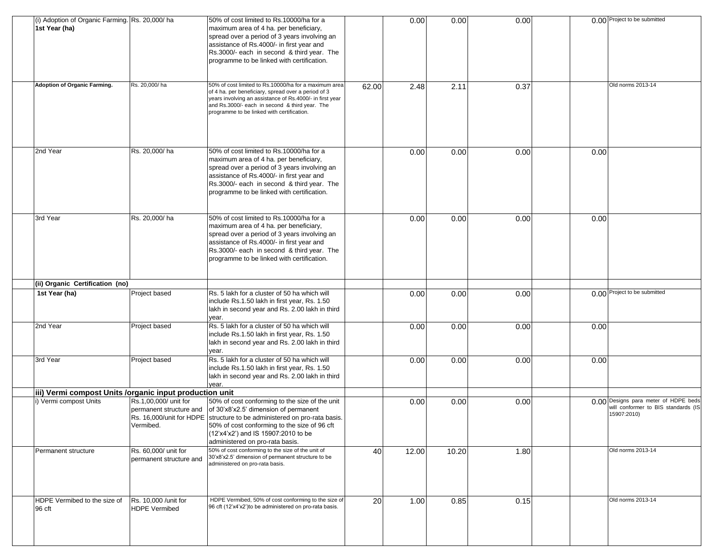| (i) Adoption of Organic Farming. Rs. 20,000/ ha<br>1st Year (ha) |                                                               | 50% of cost limited to Rs.10000/ha for a<br>maximum area of 4 ha. per beneficiary,<br>spread over a period of 3 years involving an<br>assistance of Rs.4000/- in first year and<br>Rs.3000/- each in second & third year. The<br>programme to be linked with certification.                   |       | 0.00  | 0.00  | 0.00 |      | 0.00 Project to be submitted                                                               |
|------------------------------------------------------------------|---------------------------------------------------------------|-----------------------------------------------------------------------------------------------------------------------------------------------------------------------------------------------------------------------------------------------------------------------------------------------|-------|-------|-------|------|------|--------------------------------------------------------------------------------------------|
| <b>Adoption of Organic Farming.</b>                              | Rs. 20,000/ha                                                 | 50% of cost limited to Rs.10000/ha for a maximum area<br>of 4 ha. per beneficiary, spread over a period of 3<br>years involving an assistance of Rs.4000/- in first year<br>and Rs.3000/- each in second & third year. The<br>programme to be linked with certification.                      | 62.00 | 2.48  | 2.11  | 0.37 |      | Old norms 2013-14                                                                          |
| 2nd Year                                                         | Rs. 20,000/ha                                                 | 50% of cost limited to Rs.10000/ha for a<br>maximum area of 4 ha. per beneficiary,<br>spread over a period of 3 years involving an<br>assistance of Rs.4000/- in first year and<br>Rs.3000/- each in second & third year. The<br>programme to be linked with certification.                   |       | 0.00  | 0.00  | 0.00 | 0.00 |                                                                                            |
| 3rd Year                                                         | Rs. 20,000/ha                                                 | 50% of cost limited to Rs.10000/ha for a<br>maximum area of 4 ha. per beneficiary,<br>spread over a period of 3 years involving an<br>assistance of Rs.4000/- in first year and<br>Rs.3000/- each in second & third year. The<br>programme to be linked with certification.                   |       | 0.00  | 0.00  | 0.00 | 0.00 |                                                                                            |
| (ii) Organic Certification (no)                                  |                                                               |                                                                                                                                                                                                                                                                                               |       |       |       |      |      |                                                                                            |
| 1st Year (ha)                                                    | Project based                                                 | Rs. 5 lakh for a cluster of 50 ha which will<br>include Rs.1.50 lakh in first year, Rs. 1.50<br>lakh in second year and Rs. 2.00 lakh in third<br>year.                                                                                                                                       |       | 0.00  | 0.00  | 0.00 |      | 0.00 Project to be submitted                                                               |
| 2nd Year                                                         | Project based                                                 | Rs. 5 lakh for a cluster of 50 ha which will<br>include Rs.1.50 lakh in first year, Rs. 1.50<br>lakh in second year and Rs. 2.00 lakh in third<br>year.                                                                                                                                       |       | 0.00  | 0.00  | 0.00 | 0.00 |                                                                                            |
| 3rd Year                                                         | Project based                                                 | Rs. 5 lakh for a cluster of 50 ha which will<br>include Rs.1.50 lakh in first year, Rs. 1.50<br>lakh in second year and Rs. 2.00 lakh in third<br>vear.                                                                                                                                       |       | 0.00  | 0.00  | 0.00 | 0.00 |                                                                                            |
| iii) Vermi compost Units / organic input production unit         |                                                               |                                                                                                                                                                                                                                                                                               |       |       |       |      |      |                                                                                            |
| i) Vermi compost Units                                           | Rs.1,00,000/ unit for<br>permanent structure and<br>Vermibed. | 50% of cost conforming to the size of the unit<br>of 30'x8'x2.5' dimension of permanent<br>Rs. 16,000/unit for HDPE structure to be administered on pro-rata basis.<br>50% of cost conforming to the size of 96 cft<br>(12'x4'x2') and IS 15907:2010 to be<br>administered on pro-rata basis. |       | 0.00  | 0.00  | 0.00 |      | 0.00 Designs para meter of HDPE beds<br>will conformer to BIS standards (IS<br>15907:2010) |
| Permanent structure                                              | Rs. 60,000/ unit for<br>permanent structure and               | 50% of cost conforming to the size of the unit of<br>30'x8'x2.5' dimension of permanent structure to be                                                                                                                                                                                       | 40    | 12.00 | 10.20 | 1.80 |      | Old norms 2013-14                                                                          |
|                                                                  |                                                               | administered on pro-rata basis.                                                                                                                                                                                                                                                               |       |       |       |      |      |                                                                                            |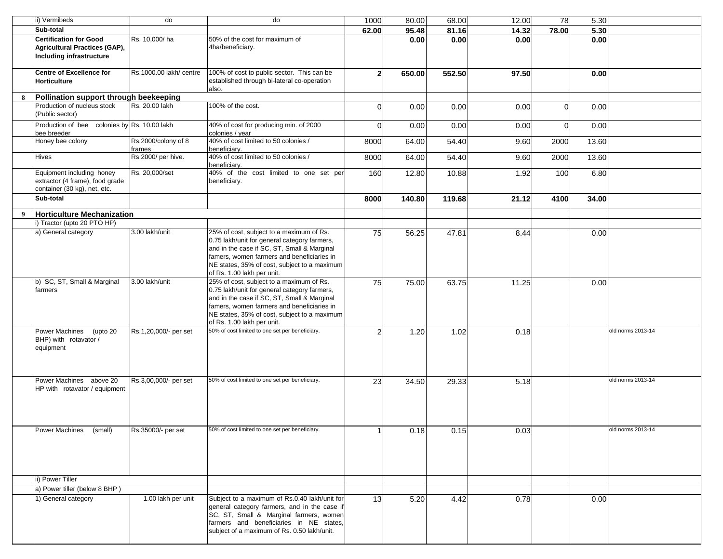|   | ii) Vermibeds                                                                                     | do                            | do                                                                                                                                                                                                                                                                  | 1000           | 80.00  | 68.00  | 12.00 | 78             | 5.30  |                   |
|---|---------------------------------------------------------------------------------------------------|-------------------------------|---------------------------------------------------------------------------------------------------------------------------------------------------------------------------------------------------------------------------------------------------------------------|----------------|--------|--------|-------|----------------|-------|-------------------|
|   | Sub-total                                                                                         |                               |                                                                                                                                                                                                                                                                     | 62.00          | 95.48  | 81.16  | 14.32 | 78.00          | 5.30  |                   |
|   | <b>Certification for Good</b><br>Agricultural Practices (GAP),<br><b>Including infrastructure</b> | Rs. 10,000/ha                 | 50% of the cost for maximum of<br>4ha/beneficiary.                                                                                                                                                                                                                  |                | 0.00   | 0.00   | 0.00  |                | 0.00  |                   |
|   | <b>Centre of Excellence for</b><br><b>Horticulture</b>                                            | Rs.1000.00 lakh/ centre       | 100% of cost to public sector. This can be<br>established through bi-lateral co-operation<br>also.                                                                                                                                                                  | $\overline{2}$ | 650.00 | 552.50 | 97.50 |                | 0.00  |                   |
| 8 | Pollination support through beekeeping                                                            |                               |                                                                                                                                                                                                                                                                     |                |        |        |       |                |       |                   |
|   | Production of nucleus stock<br>(Public sector)                                                    | Rs. 20.00 lakh                | 100% of the cost.                                                                                                                                                                                                                                                   | $\Omega$       | 0.00   | 0.00   | 0.00  | $\mathbf 0$    | 0.00  |                   |
|   | Production of bee colonies by Rs. 10.00 lakh<br>bee breeder                                       |                               | 40% of cost for producing min. of 2000<br>colonies / year                                                                                                                                                                                                           | $\Omega$       | 0.00   | 0.00   | 0.00  | $\overline{0}$ | 0.00  |                   |
|   | Honey bee colony                                                                                  | Rs.2000/colony of 8<br>frames | 40% of cost limited to 50 colonies /<br>beneficiarv.                                                                                                                                                                                                                | 8000           | 64.00  | 54.40  | 9.60  | 2000           | 13.60 |                   |
|   | Hives                                                                                             | Rs 2000/ per hive.            | 40% of cost limited to 50 colonies /<br>beneficiary.                                                                                                                                                                                                                | 8000           | 64.00  | 54.40  | 9.60  | 2000           | 13.60 |                   |
|   | Equipment including honey<br>extractor (4 frame), food grade<br>container (30 kg), net, etc.      | Rs. 20,000/set                | 40% of the cost limited to one set per<br>beneficiary.                                                                                                                                                                                                              | 160            | 12.80  | 10.88  | 1.92  | 100            | 6.80  |                   |
|   | Sub-total                                                                                         |                               |                                                                                                                                                                                                                                                                     | 8000           | 140.80 | 119.68 | 21.12 | 4100           | 34.00 |                   |
| 9 | <b>Horticulture Mechanization</b>                                                                 |                               |                                                                                                                                                                                                                                                                     |                |        |        |       |                |       |                   |
|   | i) Tractor (upto 20 PTO HP)                                                                       |                               |                                                                                                                                                                                                                                                                     |                |        |        |       |                |       |                   |
|   | a) General category                                                                               | 3.00 lakh/unit                | 25% of cost, subject to a maximum of Rs.<br>0.75 lakh/unit for general category farmers,<br>and in the case if SC, ST, Small & Marginal<br>famers, women farmers and beneficiaries in<br>NE states, 35% of cost, subject to a maximum<br>of Rs. 1.00 lakh per unit. | 75             | 56.25  | 47.81  | 8.44  |                | 0.00  |                   |
|   | b) SC, ST, Small & Marginal<br>farmers                                                            | 3.00 lakh/unit                | 25% of cost, subject to a maximum of Rs.<br>0.75 lakh/unit for general category farmers,<br>and in the case if SC, ST, Small & Marginal<br>famers, women farmers and beneficiaries in<br>NE states, 35% of cost, subject to a maximum<br>of Rs. 1.00 lakh per unit. | 75             | 75.00  | 63.75  | 11.25 |                | 0.00  |                   |
|   | <b>Power Machines</b><br>(upto 20<br>BHP) with rotavator /<br>equipment                           | Rs.1,20,000/- per set         | 50% of cost limited to one set per beneficiary.                                                                                                                                                                                                                     | 2              | 1.20   | 1.02   | 0.18  |                |       | old norms 2013-14 |
|   | Power Machines above 20<br>HP with rotavator / equipment                                          | Rs.3,00,000/- per set         | 50% of cost limited to one set per beneficiary.                                                                                                                                                                                                                     | 23             | 34.50  | 29.33  | 5.18  |                |       | old norms 2013-14 |
|   | <b>Power Machines</b><br>(small)                                                                  | Rs.35000/- per set            | 50% of cost limited to one set per beneficiary.                                                                                                                                                                                                                     |                | 0.18   | 0.15   | 0.03  |                |       | old norms 2013-14 |
|   | ii) Power Tiller                                                                                  |                               |                                                                                                                                                                                                                                                                     |                |        |        |       |                |       |                   |
|   | a) Power tiller (below 8 BHP)                                                                     |                               |                                                                                                                                                                                                                                                                     |                |        |        |       |                |       |                   |
|   | 1) General category                                                                               | 1.00 lakh per unit            | Subject to a maximum of Rs.0.40 lakh/unit for<br>general category farmers, and in the case if<br>SC, ST, Small & Marginal farmers, women<br>farmers and beneficiaries in NE states,<br>subject of a maximum of Rs. 0.50 lakh/unit.                                  | 13             | 5.20   | 4.42   | 0.78  |                | 0.00  |                   |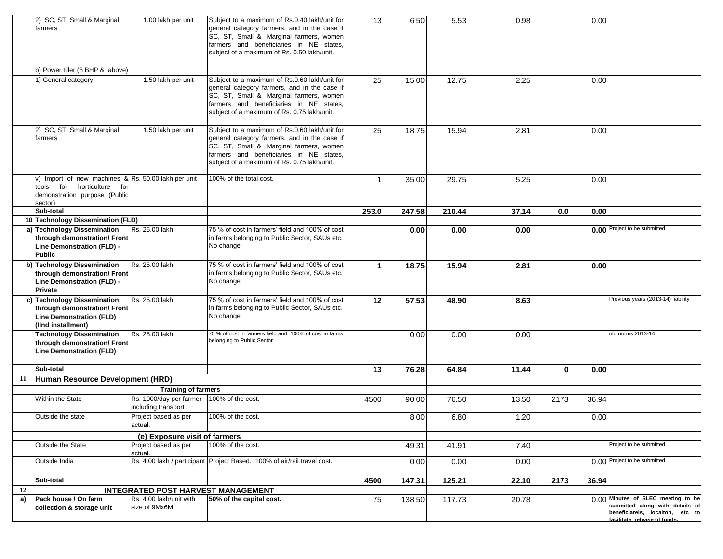|    | 2) SC, ST, Small & Marginal<br>farmers                                                                                        | 1.00 lakh per unit                             | Subject to a maximum of Rs.0.40 lakh/unit for<br>general category farmers, and in the case if<br>SC, ST, Small & Marginal farmers, women<br>farmers and beneficiaries in NE states,<br>subject of a maximum of Rs. 0.50 lakh/unit. | 13    | 6.50   | 5.53   | 0.98  |              | 0.00  |                                                                                                                                          |
|----|-------------------------------------------------------------------------------------------------------------------------------|------------------------------------------------|------------------------------------------------------------------------------------------------------------------------------------------------------------------------------------------------------------------------------------|-------|--------|--------|-------|--------------|-------|------------------------------------------------------------------------------------------------------------------------------------------|
|    | b) Power tiller (8 BHP & above)                                                                                               |                                                |                                                                                                                                                                                                                                    |       |        |        |       |              |       |                                                                                                                                          |
|    | 1) General category                                                                                                           | 1.50 lakh per unit                             | Subject to a maximum of Rs.0.60 lakh/unit for<br>general category farmers, and in the case if<br>SC, ST, Small & Marginal farmers, women<br>farmers and beneficiaries in NE states,<br>subject of a maximum of Rs. 0.75 lakh/unit. | 25    | 15.00  | 12.75  | 2.25  |              | 0.00  |                                                                                                                                          |
|    | 2) SC, ST, Small & Marginal<br>farmers                                                                                        | 1.50 lakh per unit                             | Subject to a maximum of Rs.0.60 lakh/unit for<br>general category farmers, and in the case if<br>SC, ST, Small & Marginal farmers, women<br>farmers and beneficiaries in NE states,<br>subject of a maximum of Rs. 0.75 lakh/unit. | 25    | 18.75  | 15.94  | 2.81  |              | 0.00  |                                                                                                                                          |
|    | v) Import of new machines & Rs. 50.00 lakh per unit<br>tools for horticulture for<br>demonstration purpose (Public<br>sector) |                                                | 100% of the total cost.                                                                                                                                                                                                            |       | 35.00  | 29.75  | 5.25  |              | 0.00  |                                                                                                                                          |
|    | Sub-total                                                                                                                     |                                                |                                                                                                                                                                                                                                    | 253.0 | 247.58 | 210.44 | 37.14 | 0.0          | 0.00  |                                                                                                                                          |
|    | 10 Technology Dissemination (FLD)                                                                                             |                                                |                                                                                                                                                                                                                                    |       |        |        |       |              |       |                                                                                                                                          |
|    | a) Technology Dissemination<br>through demonstration/ Front<br>Line Demonstration (FLD) -<br><b>Public</b>                    | Rs. 25.00 lakh                                 | 75 % of cost in farmers' field and 100% of cost<br>in farms belonging to Public Sector, SAUs etc.<br>No change                                                                                                                     |       | 0.00   | 0.00   | 0.00  |              |       | 0.00 Project to be submitted                                                                                                             |
|    | b) Technology Dissemination<br>through demonstration/ Front<br>Line Demonstration (FLD) -<br><b>Private</b>                   | Rs. 25.00 lakh                                 | 75 % of cost in farmers' field and 100% of cost<br>in farms belonging to Public Sector, SAUs etc.<br>No change                                                                                                                     |       | 18.75  | 15.94  | 2.81  |              | 0.00  |                                                                                                                                          |
|    | c) Technology Dissemination<br>through demonstration/ Front<br><b>Line Demonstration (FLD)</b><br>(IInd installment)          | Rs. 25.00 lakh                                 | 75 % of cost in farmers' field and 100% of cost<br>in farms belonging to Public Sector, SAUs etc.<br>No change                                                                                                                     | 12    | 57.53  | 48.90  | 8.63  |              |       | Previous years (2013-14) liability                                                                                                       |
|    | <b>Technology Dissemination</b><br>through demonstration/ Front<br>Line Demonstration (FLD)                                   | Rs. 25.00 lakh                                 | 75 % of cost in farmers field and 100% of cost in farms<br>belonging to Public Sector                                                                                                                                              |       | 0.00   | 0.00   | 0.00  |              |       | old norms 2013-14                                                                                                                        |
|    | Sub-total                                                                                                                     |                                                |                                                                                                                                                                                                                                    | 13    | 76.28  | 64.84  | 11.44 | $\mathbf{0}$ | 0.00  |                                                                                                                                          |
| 11 | Human Resource Development (HRD)                                                                                              |                                                |                                                                                                                                                                                                                                    |       |        |        |       |              |       |                                                                                                                                          |
|    |                                                                                                                               | <b>Training of farmers</b>                     |                                                                                                                                                                                                                                    |       |        |        |       |              |       |                                                                                                                                          |
|    | Within the State                                                                                                              | Rs. 1000/day per farmer<br>including transport | 100% of the cost.                                                                                                                                                                                                                  | 4500  | 90.00  | 76.50  | 13.50 | 2173         | 36.94 |                                                                                                                                          |
|    | Outside the state                                                                                                             | Project based as per<br>actual.                | 100% of the cost.                                                                                                                                                                                                                  |       | 8.00   | 6.80   | 1.20  |              | 0.00  |                                                                                                                                          |
|    |                                                                                                                               | (e) Exposure visit of farmers                  |                                                                                                                                                                                                                                    |       |        |        |       |              |       |                                                                                                                                          |
|    | Outside the State                                                                                                             | Project based as per<br>actual.                | 100% of the cost.                                                                                                                                                                                                                  |       | 49.31  | 41.91  | 7.40  |              |       | Project to be submitted                                                                                                                  |
|    | Outside India                                                                                                                 |                                                | Rs. 4.00 lakh / participant Project Based. 100% of air/rail travel cost.                                                                                                                                                           |       | 0.00   | 0.00   | 0.00  |              |       | 0.00 Project to be submitted                                                                                                             |
|    | Sub-total                                                                                                                     |                                                |                                                                                                                                                                                                                                    | 4500  | 147.31 | 125.21 | 22.10 | 2173         | 36.94 |                                                                                                                                          |
| 12 |                                                                                                                               | <b>INTEGRATED POST HARVEST MANAGEMENT</b>      |                                                                                                                                                                                                                                    |       |        |        |       |              |       |                                                                                                                                          |
| a) | Pack house / On farm<br>collection & storage unit                                                                             | Rs. 4.00 lakh/unit with<br>size of 9Mx6M       | 50% of the capital cost.                                                                                                                                                                                                           | 75    | 138.50 | 117.73 | 20.78 |              |       | 0.00 Minutes of SLEC meeting to be<br>submitted along with details of<br>beneficiareis, locaiton, etc to<br>facilitate release of funds. |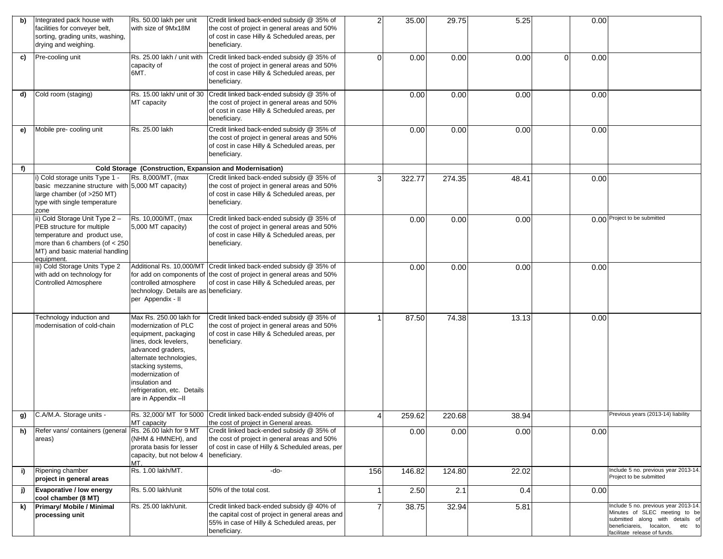| b) | Integrated pack house with<br>facilities for conveyer belt,<br>sorting, grading units, washing,<br>drying and weighing.                                                           | Rs. 50.00 lakh per unit<br>with size of 9Mx18M                                                                                                                                                                                                                    | Credit linked back-ended subsidy @ 35% of<br>the cost of project in general areas and 50%<br>of cost in case Hilly & Scheduled areas, per<br>beneficiary.                                   | $\overline{2}$ | 35.00  | 29.75  | 5.25  |                | 0.00 |                                                                                                                                                                             |
|----|-----------------------------------------------------------------------------------------------------------------------------------------------------------------------------------|-------------------------------------------------------------------------------------------------------------------------------------------------------------------------------------------------------------------------------------------------------------------|---------------------------------------------------------------------------------------------------------------------------------------------------------------------------------------------|----------------|--------|--------|-------|----------------|------|-----------------------------------------------------------------------------------------------------------------------------------------------------------------------------|
| c) | Pre-cooling unit                                                                                                                                                                  | Rs. 25.00 lakh / unit with<br>capacity of<br>6MT.                                                                                                                                                                                                                 | Credit linked back-ended subsidy @ 35% of<br>the cost of project in general areas and 50%<br>of cost in case Hilly & Scheduled areas, per<br>beneficiary.                                   | $\Omega$       | 0.00   | 0.00   | 0.00  | $\overline{0}$ | 0.00 |                                                                                                                                                                             |
| d) | Cold room (staging)                                                                                                                                                               | Rs. 15.00 lakh/ unit of 30<br>MT capacity                                                                                                                                                                                                                         | Credit linked back-ended subsidy @ 35% of<br>the cost of project in general areas and 50%<br>of cost in case Hilly & Scheduled areas, per<br>beneficiary.                                   |                | 0.00   | 0.00   | 0.00  |                | 0.00 |                                                                                                                                                                             |
| e) | Mobile pre-cooling unit                                                                                                                                                           | Rs. 25.00 lakh                                                                                                                                                                                                                                                    | Credit linked back-ended subsidy @ 35% of<br>the cost of project in general areas and 50%<br>of cost in case Hilly & Scheduled areas, per<br>beneficiary.                                   |                | 0.00   | 0.00   | 0.00  |                | 0.00 |                                                                                                                                                                             |
| f) |                                                                                                                                                                                   | Cold Storage (Construction, Expansion and Modernisation)                                                                                                                                                                                                          |                                                                                                                                                                                             |                |        |        |       |                |      |                                                                                                                                                                             |
|    | i) Cold storage units Type 1 -<br>basic mezzanine structure with 5,000 MT capacity)<br>large chamber (of >250 MT)<br>type with single temperature<br>zone                         | Rs. 8,000/MT, (max                                                                                                                                                                                                                                                | Credit linked back-ended subsidy @ 35% of<br>the cost of project in general areas and 50%<br>of cost in case Hilly & Scheduled areas, per<br>beneficiary.                                   | 3              | 322.77 | 274.35 | 48.41 |                | 0.00 |                                                                                                                                                                             |
|    | ii) Cold Storage Unit Type 2 -<br>PEB structure for multiple<br>temperature and product use,<br>more than 6 chambers (of $<$ 250<br>MT) and basic material handling<br>equipment. | Rs. 10,000/MT, (max<br>5,000 MT capacity)                                                                                                                                                                                                                         | Credit linked back-ended subsidy @ 35% of<br>the cost of project in general areas and 50%<br>of cost in case Hilly & Scheduled areas, per<br>beneficiary.                                   |                | 0.00   | 0.00   | 0.00  |                |      | 0.00 Project to be submitted                                                                                                                                                |
|    | iii) Cold Storage Units Type 2<br>with add on technology for<br><b>Controlled Atmosphere</b>                                                                                      | controlled atmosphere<br>technology. Details are as beneficiary.<br>per Appendix - II                                                                                                                                                                             | Additional Rs. 10,000/MT Credit linked back-ended subsidy @ 35% of<br>for add on components of the cost of project in general areas and 50%<br>of cost in case Hilly & Scheduled areas, per |                | 0.00   | 0.00   | 0.00  |                | 0.00 |                                                                                                                                                                             |
|    | Technology induction and<br>modernisation of cold-chain                                                                                                                           | Max Rs. 250.00 lakh for<br>modernization of PLC<br>equipment, packaging<br>lines, dock levelers,<br>advanced graders,<br>alternate technologies,<br>stacking systems,<br>modernization of<br>insulation and<br>refrigeration, etc. Details<br>are in Appendix -II | Credit linked back-ended subsidy @ 35% of<br>the cost of project in general areas and 50%<br>of cost in case Hilly & Scheduled areas, per<br>beneficiary.                                   |                | 87.50  | 74.38  | 13.13 |                | 0.00 |                                                                                                                                                                             |
| g) | C.A/M.A. Storage units -                                                                                                                                                          | Rs. 32,000/ MT for 5000<br>MT capacity                                                                                                                                                                                                                            | Credit linked back-ended subsidy @40% of<br>the cost of project in General areas.                                                                                                           |                | 259.62 | 220.68 | 38.94 |                |      | Previous years (2013-14) liability                                                                                                                                          |
| h) | Refer vans/ containers (general<br>areas)                                                                                                                                         | Rs. 26.00 lakh for 9 MT<br>(NHM & HMNEH), and<br>prorata basis for lesser<br>capacity, but not below 4<br>MT.                                                                                                                                                     | Credit linked back-ended subsidy @ 35% of<br>the cost of project in general areas and 50%<br>of cost in case of Hilly & Scheduled areas, per<br>beneficiary.                                |                | 0.00   | 0.00   | 0.00  |                | 0.00 |                                                                                                                                                                             |
| i) | Ripening chamber<br>project in general areas                                                                                                                                      | Rs. 1.00 lakh/MT.                                                                                                                                                                                                                                                 | -do-                                                                                                                                                                                        | 156            | 146.82 | 124.80 | 22.02 |                |      | Include 5 no. previous year 2013-14.<br>Project to be submitted                                                                                                             |
| j) | Evaporative / low energy<br>cool chamber (8 MT)                                                                                                                                   | Rs. 5.00 lakh/unit                                                                                                                                                                                                                                                | 50% of the total cost.                                                                                                                                                                      |                | 2.50   | 2.1    | 0.4   |                | 0.00 |                                                                                                                                                                             |
| k) | <b>Primary/ Mobile / Minimal</b><br>processing unit                                                                                                                               | Rs. 25.00 lakh/unit.                                                                                                                                                                                                                                              | Credit linked back-ended subsidy @ 40% of<br>the capital cost of project in general areas and<br>55% in case of Hilly & Scheduled areas, per<br>beneficiary.                                |                | 38.75  | 32.94  | 5.81  |                |      | Include 5 no. previous year 2013-14.<br>Minutes of SLEC meeting to be<br>submitted along with details of<br>beneficiareis, locaiton, etc to<br>facilitate release of funds. |